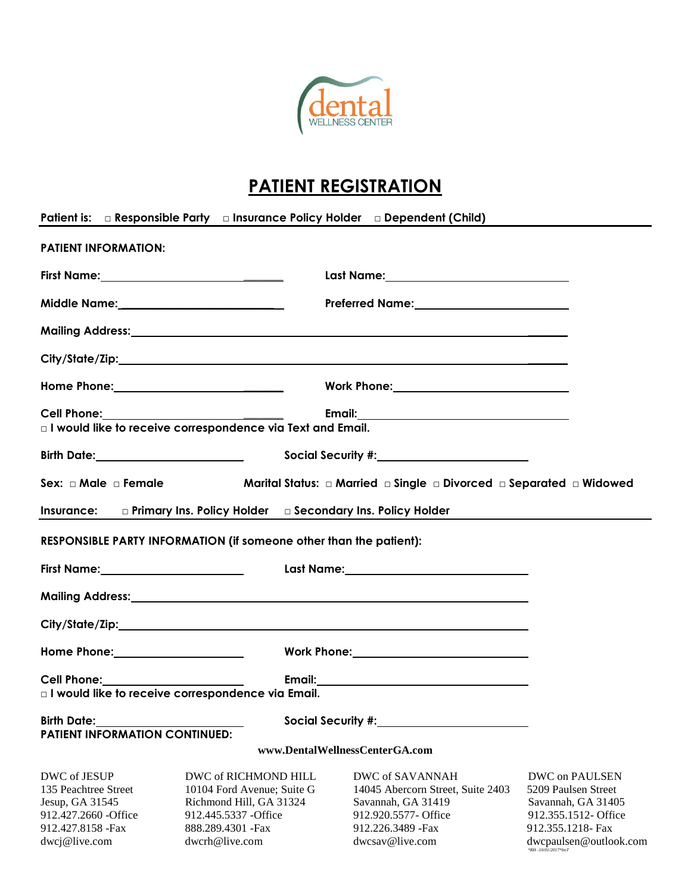

## **PATIENT REGISTRATION**

×

Ĭ.

|                                                                                                                         | Patient is: <b>Example Section Control</b> Density and Insurance Policy Holder <b>Example Dependent (Child)</b>                                |                                                                                                                                             |                                                                                                                                    |
|-------------------------------------------------------------------------------------------------------------------------|------------------------------------------------------------------------------------------------------------------------------------------------|---------------------------------------------------------------------------------------------------------------------------------------------|------------------------------------------------------------------------------------------------------------------------------------|
| <b>PATIENT INFORMATION:</b>                                                                                             |                                                                                                                                                |                                                                                                                                             |                                                                                                                                    |
|                                                                                                                         | First Name:_________________________________                                                                                                   |                                                                                                                                             |                                                                                                                                    |
|                                                                                                                         | Middle Name:__________________________                                                                                                         |                                                                                                                                             |                                                                                                                                    |
|                                                                                                                         |                                                                                                                                                |                                                                                                                                             |                                                                                                                                    |
|                                                                                                                         |                                                                                                                                                |                                                                                                                                             |                                                                                                                                    |
|                                                                                                                         |                                                                                                                                                |                                                                                                                                             |                                                                                                                                    |
|                                                                                                                         | $\Box$ I would like to receive correspondence via Text and Email.                                                                              |                                                                                                                                             |                                                                                                                                    |
|                                                                                                                         |                                                                                                                                                |                                                                                                                                             |                                                                                                                                    |
|                                                                                                                         |                                                                                                                                                | Social Security #: New York 2014                                                                                                            |                                                                                                                                    |
|                                                                                                                         |                                                                                                                                                | Sex: $\Box$ Male $\Box$ Female $\Box$ = Marital Status: $\Box$ Married $\Box$ Single $\Box$ Divorced $\Box$ Separated $\Box$ Widowed        |                                                                                                                                    |
|                                                                                                                         | Insurance: Diplimary Ins. Policy Holder Discondary Ins. Policy Holder                                                                          |                                                                                                                                             |                                                                                                                                    |
|                                                                                                                         | RESPONSIBLE PARTY INFORMATION (if someone other than the patient):                                                                             |                                                                                                                                             |                                                                                                                                    |
|                                                                                                                         |                                                                                                                                                |                                                                                                                                             |                                                                                                                                    |
|                                                                                                                         |                                                                                                                                                |                                                                                                                                             |                                                                                                                                    |
|                                                                                                                         |                                                                                                                                                |                                                                                                                                             |                                                                                                                                    |
|                                                                                                                         |                                                                                                                                                |                                                                                                                                             |                                                                                                                                    |
|                                                                                                                         | □ I would like to receive correspondence via Email.                                                                                            |                                                                                                                                             |                                                                                                                                    |
| Birth Date:                                                                                                             | Social Security #:                                                                                                                             |                                                                                                                                             |                                                                                                                                    |
| <b>PATIENT INFORMATION CONTINUED:</b>                                                                                   |                                                                                                                                                |                                                                                                                                             |                                                                                                                                    |
|                                                                                                                         |                                                                                                                                                | www.DentalWellnessCenterGA.com                                                                                                              |                                                                                                                                    |
| DWC of JESUP<br>135 Peachtree Street<br>Jesup, GA 31545<br>912.427.2660 - Office<br>912.427.8158 - Fax<br>dwcj@live.com | DWC of RICHMOND HILL<br>10104 Ford Avenue; Suite G<br>Richmond Hill, GA 31324<br>912.445.5337 - Office<br>888.289.4301 - Fax<br>dwcrh@live.com | DWC of SAVANNAH<br>14045 Abercorn Street, Suite 2403<br>Savannah, GA 31419<br>912.920.5577- Office<br>912.226.3489 - Fax<br>dwcsav@live.com | DWC on PAULSEN<br>5209 Paulsen Street<br>Savannah, GA 31405<br>912.355.1512- Office<br>912.355.1218- Fax<br>dwcpaulsen@outlook.com |